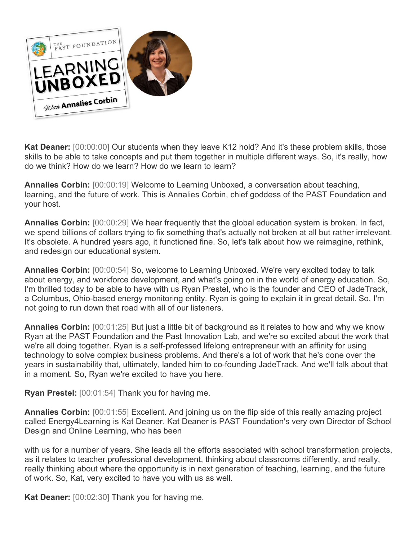

**Kat Deaner:** [00:00:00] Our students when they leave K12 hold? And it's these problem skills, those skills to be able to take concepts and put them together in multiple different ways. So, it's really, how do we think? How do we learn? How do we learn to learn?

**Annalies Corbin:** [00:00:19] Welcome to Learning Unboxed, a conversation about teaching, learning, and the future of work. This is Annalies Corbin, chief goddess of the PAST Foundation and your host.

**Annalies Corbin:** [00:00:29] We hear frequently that the global education system is broken. In fact, we spend billions of dollars trying to fix something that's actually not broken at all but rather irrelevant. It's obsolete. A hundred years ago, it functioned fine. So, let's talk about how we reimagine, rethink, and redesign our educational system.

**Annalies Corbin:** [00:00:54] So, welcome to Learning Unboxed. We're very excited today to talk about energy, and workforce development, and what's going on in the world of energy education. So, I'm thrilled today to be able to have with us Ryan Prestel, who is the founder and CEO of JadeTrack, a Columbus, Ohio-based energy monitoring entity. Ryan is going to explain it in great detail. So, I'm not going to run down that road with all of our listeners.

**Annalies Corbin:** [00:01:25] But just a little bit of background as it relates to how and why we know Ryan at the PAST Foundation and the Past Innovation Lab, and we're so excited about the work that we're all doing together. Ryan is a self-professed lifelong entrepreneur with an affinity for using technology to solve complex business problems. And there's a lot of work that he's done over the years in sustainability that, ultimately, landed him to co-founding JadeTrack. And we'll talk about that in a moment. So, Ryan we're excited to have you here.

**Ryan Prestel:** [00:01:54] Thank you for having me.

**Annalies Corbin:** [00:01:55] Excellent. And joining us on the flip side of this really amazing project called Energy4Learning is Kat Deaner. Kat Deaner is PAST Foundation's very own Director of School Design and Online Learning, who has been

with us for a number of years. She leads all the efforts associated with school transformation projects, as it relates to teacher professional development, thinking about classrooms differently, and really, really thinking about where the opportunity is in next generation of teaching, learning, and the future of work. So, Kat, very excited to have you with us as well.

**Kat Deaner:** [00:02:30] Thank you for having me.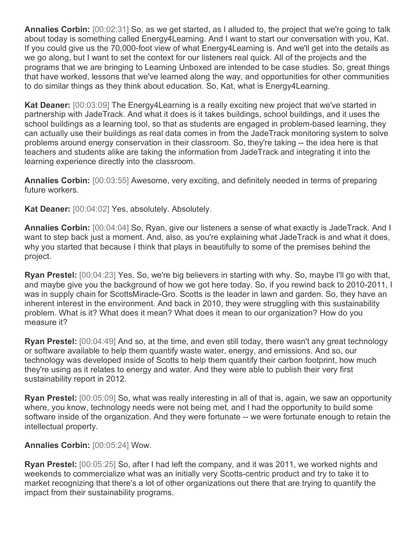**Annalies Corbin:** [00:02:31] So, as we get started, as I alluded to, the project that we're going to talk about today is something called Energy4Learning. And I want to start our conversation with you, Kat. If you could give us the 70,000-foot view of what Energy4Learning is. And we'll get into the details as we go along, but I want to set the context for our listeners real quick. All of the projects and the programs that we are bringing to Learning Unboxed are intended to be case studies. So, great things that have worked, lessons that we've learned along the way, and opportunities for other communities to do similar things as they think about education. So, Kat, what is Energy4Learning.

**Kat Deaner:** [00:03:09] The Energy4Learning is a really exciting new project that we've started in partnership with JadeTrack. And what it does is it takes buildings, school buildings, and it uses the school buildings as a learning tool, so that as students are engaged in problem-based learning, they can actually use their buildings as real data comes in from the JadeTrack monitoring system to solve problems around energy conservation in their classroom. So, they're taking -- the idea here is that teachers and students alike are taking the information from JadeTrack and integrating it into the learning experience directly into the classroom.

**Annalies Corbin:** [00:03:55] Awesome, very exciting, and definitely needed in terms of preparing future workers.

**Kat Deaner:** [00:04:02] Yes, absolutely. Absolutely.

**Annalies Corbin:** [00:04:04] So, Ryan, give our listeners a sense of what exactly is JadeTrack. And I want to step back just a moment. And, also, as you're explaining what JadeTrack is and what it does, why you started that because I think that plays in beautifully to some of the premises behind the project.

**Ryan Prestel:** [00:04:23] Yes. So, we're big believers in starting with why. So, maybe I'll go with that, and maybe give you the background of how we got here today. So, if you rewind back to 2010-2011, I was in supply chain for ScottsMiracle-Gro. Scotts is the leader in lawn and garden. So, they have an inherent interest in the environment. And back in 2010, they were struggling with this sustainability problem. What is it? What does it mean? What does it mean to our organization? How do you measure it?

**Ryan Prestel:** [00:04:49] And so, at the time, and even still today, there wasn't any great technology or software available to help them quantify waste water, energy, and emissions. And so, our technology was developed inside of Scotts to help them quantify their carbon footprint, how much they're using as it relates to energy and water. And they were able to publish their very first sustainability report in 2012.

**Ryan Prestel:** [00:05:09] So, what was really interesting in all of that is, again, we saw an opportunity where, you know, technology needs were not being met, and I had the opportunity to build some software inside of the organization. And they were fortunate -- we were fortunate enough to retain the intellectual property.

## **Annalies Corbin:** [00:05:24] Wow.

**Ryan Prestel:** [00:05:25] So, after I had left the company, and it was 2011, we worked nights and weekends to commercialize what was an initially very Scotts-centric product and try to take it to market recognizing that there's a lot of other organizations out there that are trying to quantify the impact from their sustainability programs.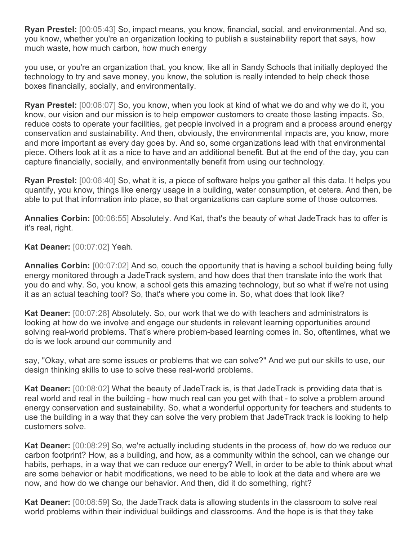**Ryan Prestel:** [00:05:43] So, impact means, you know, financial, social, and environmental. And so, you know, whether you're an organization looking to publish a sustainability report that says, how much waste, how much carbon, how much energy

you use, or you're an organization that, you know, like all in Sandy Schools that initially deployed the technology to try and save money, you know, the solution is really intended to help check those boxes financially, socially, and environmentally.

**Ryan Prestel:** [00:06:07] So, you know, when you look at kind of what we do and why we do it, you know, our vision and our mission is to help empower customers to create those lasting impacts. So, reduce costs to operate your facilities, get people involved in a program and a process around energy conservation and sustainability. And then, obviously, the environmental impacts are, you know, more and more important as every day goes by. And so, some organizations lead with that environmental piece. Others look at it as a nice to have and an additional benefit. But at the end of the day, you can capture financially, socially, and environmentally benefit from using our technology.

**Ryan Prestel:** [00:06:40] So, what it is, a piece of software helps you gather all this data. It helps you quantify, you know, things like energy usage in a building, water consumption, et cetera. And then, be able to put that information into place, so that organizations can capture some of those outcomes.

**Annalies Corbin:** [00:06:55] Absolutely. And Kat, that's the beauty of what JadeTrack has to offer is it's real, right.

**Kat Deaner:** [00:07:02] Yeah.

**Annalies Corbin:** [00:07:02] And so, couch the opportunity that is having a school building being fully energy monitored through a JadeTrack system, and how does that then translate into the work that you do and why. So, you know, a school gets this amazing technology, but so what if we're not using it as an actual teaching tool? So, that's where you come in. So, what does that look like?

**Kat Deaner:** [00:07:28] Absolutely. So, our work that we do with teachers and administrators is looking at how do we involve and engage our students in relevant learning opportunities around solving real-world problems. That's where problem-based learning comes in. So, oftentimes, what we do is we look around our community and

say, "Okay, what are some issues or problems that we can solve?" And we put our skills to use, our design thinking skills to use to solve these real-world problems.

**Kat Deaner:** [00:08:02] What the beauty of JadeTrack is, is that JadeTrack is providing data that is real world and real in the building - how much real can you get with that - to solve a problem around energy conservation and sustainability. So, what a wonderful opportunity for teachers and students to use the building in a way that they can solve the very problem that JadeTrack track is looking to help customers solve.

**Kat Deaner:** [00:08:29] So, we're actually including students in the process of, how do we reduce our carbon footprint? How, as a building, and how, as a community within the school, can we change our habits, perhaps, in a way that we can reduce our energy? Well, in order to be able to think about what are some behavior or habit modifications, we need to be able to look at the data and where are we now, and how do we change our behavior. And then, did it do something, right?

**Kat Deaner:** [00:08:59] So, the JadeTrack data is allowing students in the classroom to solve real world problems within their individual buildings and classrooms. And the hope is is that they take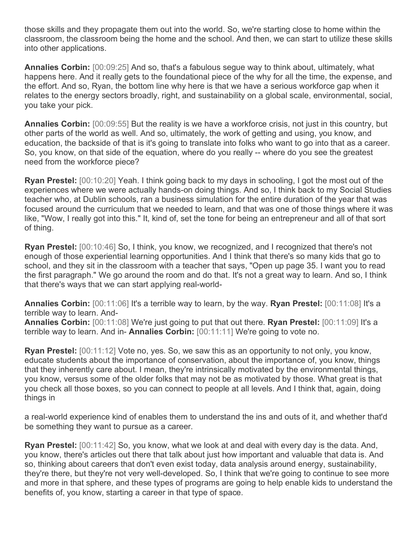those skills and they propagate them out into the world. So, we're starting close to home within the classroom, the classroom being the home and the school. And then, we can start to utilize these skills into other applications.

**Annalies Corbin:** [00:09:25] And so, that's a fabulous segue way to think about, ultimately, what happens here. And it really gets to the foundational piece of the why for all the time, the expense, and the effort. And so, Ryan, the bottom line why here is that we have a serious workforce gap when it relates to the energy sectors broadly, right, and sustainability on a global scale, environmental, social, you take your pick.

**Annalies Corbin:** [00:09:55] But the reality is we have a workforce crisis, not just in this country, but other parts of the world as well. And so, ultimately, the work of getting and using, you know, and education, the backside of that is it's going to translate into folks who want to go into that as a career. So, you know, on that side of the equation, where do you really -- where do you see the greatest need from the workforce piece?

**Ryan Prestel:** [00:10:20] Yeah. I think going back to my days in schooling, I got the most out of the experiences where we were actually hands-on doing things. And so, I think back to my Social Studies teacher who, at Dublin schools, ran a business simulation for the entire duration of the year that was focused around the curriculum that we needed to learn, and that was one of those things where it was like, "Wow, I really got into this." It, kind of, set the tone for being an entrepreneur and all of that sort of thing.

**Ryan Prestel:** [00:10:46] So, I think, you know, we recognized, and I recognized that there's not enough of those experiential learning opportunities. And I think that there's so many kids that go to school, and they sit in the classroom with a teacher that says, "Open up page 35. I want you to read the first paragraph." We go around the room and do that. It's not a great way to learn. And so, I think that there's ways that we can start applying real-world-

**Annalies Corbin:** [00:11:06] It's a terrible way to learn, by the way. **Ryan Prestel:** [00:11:08] It's a terrible way to learn. And-

**Annalies Corbin:** [00:11:08] We're just going to put that out there. **Ryan Prestel:** [00:11:09] It's a terrible way to learn. And in- **Annalies Corbin:** [00:11:11] We're going to vote no.

**Ryan Prestel:** [00:11:12] Vote no, yes. So, we saw this as an opportunity to not only, you know, educate students about the importance of conservation, about the importance of, you know, things that they inherently care about. I mean, they're intrinsically motivated by the environmental things, you know, versus some of the older folks that may not be as motivated by those. What great is that you check all those boxes, so you can connect to people at all levels. And I think that, again, doing things in

a real-world experience kind of enables them to understand the ins and outs of it, and whether that'd be something they want to pursue as a career.

**Ryan Prestel:** [00:11:42] So, you know, what we look at and deal with every day is the data. And, you know, there's articles out there that talk about just how important and valuable that data is. And so, thinking about careers that don't even exist today, data analysis around energy, sustainability, they're there, but they're not very well-developed. So, I think that we're going to continue to see more and more in that sphere, and these types of programs are going to help enable kids to understand the benefits of, you know, starting a career in that type of space.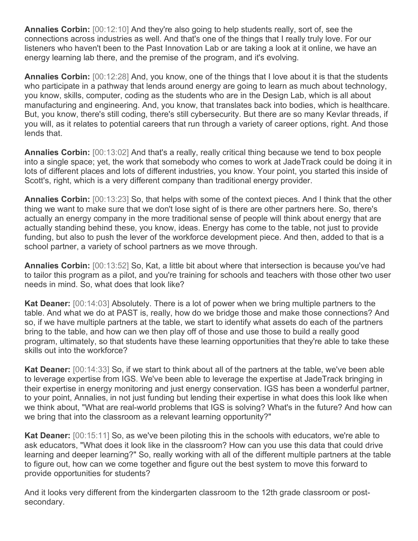**Annalies Corbin:** [00:12:10] And they're also going to help students really, sort of, see the connections across industries as well. And that's one of the things that I really truly love. For our listeners who haven't been to the Past Innovation Lab or are taking a look at it online, we have an energy learning lab there, and the premise of the program, and it's evolving.

**Annalies Corbin:** [00:12:28] And, you know, one of the things that I love about it is that the students who participate in a pathway that lends around energy are going to learn as much about technology, you know, skills, computer, coding as the students who are in the Design Lab, which is all about manufacturing and engineering. And, you know, that translates back into bodies, which is healthcare. But, you know, there's still coding, there's still cybersecurity. But there are so many Kevlar threads, if you will, as it relates to potential careers that run through a variety of career options, right. And those lends that.

**Annalies Corbin:** [00:13:02] And that's a really, really critical thing because we tend to box people into a single space; yet, the work that somebody who comes to work at JadeTrack could be doing it in lots of different places and lots of different industries, you know. Your point, you started this inside of Scott's, right, which is a very different company than traditional energy provider.

**Annalies Corbin:** [00:13:23] So, that helps with some of the context pieces. And I think that the other thing we want to make sure that we don't lose sight of is there are other partners here. So, there's actually an energy company in the more traditional sense of people will think about energy that are actually standing behind these, you know, ideas. Energy has come to the table, not just to provide funding, but also to push the lever of the workforce development piece. And then, added to that is a school partner, a variety of school partners as we move through.

**Annalies Corbin:** [00:13:52] So, Kat, a little bit about where that intersection is because you've had to tailor this program as a pilot, and you're training for schools and teachers with those other two user needs in mind. So, what does that look like?

**Kat Deaner:** [00:14:03] Absolutely. There is a lot of power when we bring multiple partners to the table. And what we do at PAST is, really, how do we bridge those and make those connections? And so, if we have multiple partners at the table, we start to identify what assets do each of the partners bring to the table, and how can we then play off of those and use those to build a really good program, ultimately, so that students have these learning opportunities that they're able to take these skills out into the workforce?

**Kat Deaner:** [00:14:33] So, if we start to think about all of the partners at the table, we've been able to leverage expertise from IGS. We've been able to leverage the expertise at JadeTrack bringing in their expertise in energy monitoring and just energy conservation. IGS has been a wonderful partner, to your point, Annalies, in not just funding but lending their expertise in what does this look like when we think about, "What are real-world problems that IGS is solving? What's in the future? And how can we bring that into the classroom as a relevant learning opportunity?"

**Kat Deaner:** [00:15:11] So, as we've been piloting this in the schools with educators, we're able to ask educators, "What does it look like in the classroom? How can you use this data that could drive learning and deeper learning?" So, really working with all of the different multiple partners at the table to figure out, how can we come together and figure out the best system to move this forward to provide opportunities for students?

And it looks very different from the kindergarten classroom to the 12th grade classroom or postsecondary.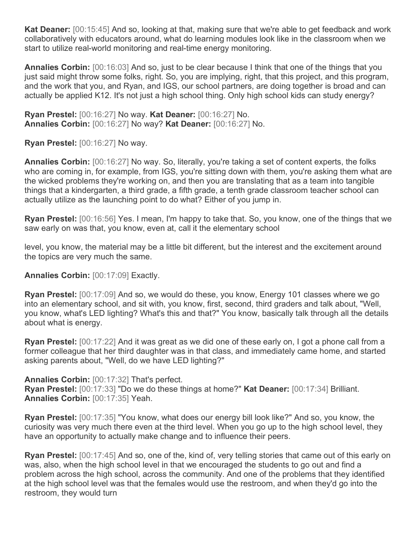**Kat Deaner:** [00:15:45] And so, looking at that, making sure that we're able to get feedback and work collaboratively with educators around, what do learning modules look like in the classroom when we start to utilize real-world monitoring and real-time energy monitoring.

**Annalies Corbin:** [00:16:03] And so, just to be clear because I think that one of the things that you just said might throw some folks, right. So, you are implying, right, that this project, and this program, and the work that you, and Ryan, and IGS, our school partners, are doing together is broad and can actually be applied K12. It's not just a high school thing. Only high school kids can study energy?

**Ryan Prestel:** [00:16:27] No way. **Kat Deaner:** [00:16:27] No. **Annalies Corbin:** [00:16:27] No way? **Kat Deaner:** [00:16:27] No.

**Ryan Prestel:** [00:16:27] No way.

**Annalies Corbin:** [00:16:27] No way. So, literally, you're taking a set of content experts, the folks who are coming in, for example, from IGS, you're sitting down with them, you're asking them what are the wicked problems they're working on, and then you are translating that as a team into tangible things that a kindergarten, a third grade, a fifth grade, a tenth grade classroom teacher school can actually utilize as the launching point to do what? Either of you jump in.

**Ryan Prestel:** [00:16:56] Yes. I mean, I'm happy to take that. So, you know, one of the things that we saw early on was that, you know, even at, call it the elementary school

level, you know, the material may be a little bit different, but the interest and the excitement around the topics are very much the same.

**Annalies Corbin:** [00:17:09] Exactly.

**Ryan Prestel:** [00:17:09] And so, we would do these, you know, Energy 101 classes where we go into an elementary school, and sit with, you know, first, second, third graders and talk about, "Well, you know, what's LED lighting? What's this and that?" You know, basically talk through all the details about what is energy.

**Ryan Prestel:** [00:17:22] And it was great as we did one of these early on, I got a phone call from a former colleague that her third daughter was in that class, and immediately came home, and started asking parents about, "Well, do we have LED lighting?"

**Annalies Corbin:** [00:17:32] That's perfect. **Ryan Prestel:** [00:17:33] "Do we do these things at home?" **Kat Deaner:** [00:17:34] Brilliant. **Annalies Corbin:** [00:17:35] Yeah.

**Ryan Prestel:** [00:17:35] "You know, what does our energy bill look like?" And so, you know, the curiosity was very much there even at the third level. When you go up to the high school level, they have an opportunity to actually make change and to influence their peers.

**Ryan Prestel:** [00:17:45] And so, one of the, kind of, very telling stories that came out of this early on was, also, when the high school level in that we encouraged the students to go out and find a problem across the high school, across the community. And one of the problems that they identified at the high school level was that the females would use the restroom, and when they'd go into the restroom, they would turn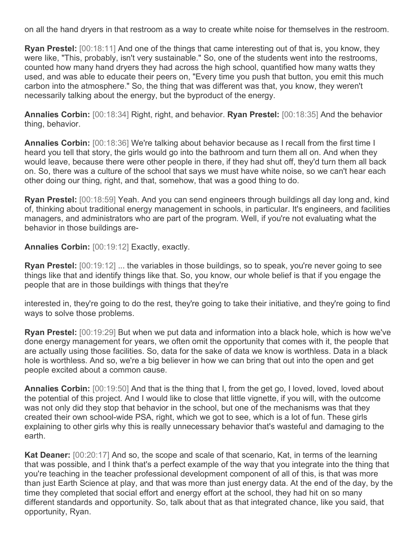on all the hand dryers in that restroom as a way to create white noise for themselves in the restroom.

**Ryan Prestel:** [00:18:11] And one of the things that came interesting out of that is, you know, they were like, "This, probably, isn't very sustainable." So, one of the students went into the restrooms, counted how many hand dryers they had across the high school, quantified how many watts they used, and was able to educate their peers on, "Every time you push that button, you emit this much carbon into the atmosphere." So, the thing that was different was that, you know, they weren't necessarily talking about the energy, but the byproduct of the energy.

**Annalies Corbin:** [00:18:34] Right, right, and behavior. **Ryan Prestel:** [00:18:35] And the behavior thing, behavior.

**Annalies Corbin:** [00:18:36] We're talking about behavior because as I recall from the first time I heard you tell that story, the girls would go into the bathroom and turn them all on. And when they would leave, because there were other people in there, if they had shut off, they'd turn them all back on. So, there was a culture of the school that says we must have white noise, so we can't hear each other doing our thing, right, and that, somehow, that was a good thing to do.

**Ryan Prestel:** [00:18:59] Yeah. And you can send engineers through buildings all day long and, kind of, thinking about traditional energy management in schools, in particular. It's engineers, and facilities managers, and administrators who are part of the program. Well, if you're not evaluating what the behavior in those buildings are-

**Annalies Corbin:** [00:19:12] Exactly, exactly.

**Ryan Prestel:** [00:19:12] ... the variables in those buildings, so to speak, you're never going to see things like that and identify things like that. So, you know, our whole belief is that if you engage the people that are in those buildings with things that they're

interested in, they're going to do the rest, they're going to take their initiative, and they're going to find ways to solve those problems.

**Ryan Prestel:** [00:19:29] But when we put data and information into a black hole, which is how we've done energy management for years, we often omit the opportunity that comes with it, the people that are actually using those facilities. So, data for the sake of data we know is worthless. Data in a black hole is worthless. And so, we're a big believer in how we can bring that out into the open and get people excited about a common cause.

**Annalies Corbin:** [00:19:50] And that is the thing that I, from the get go, I loved, loved, loved about the potential of this project. And I would like to close that little vignette, if you will, with the outcome was not only did they stop that behavior in the school, but one of the mechanisms was that they created their own school-wide PSA, right, which we got to see, which is a lot of fun. These girls explaining to other girls why this is really unnecessary behavior that's wasteful and damaging to the earth.

**Kat Deaner:** [00:20:17] And so, the scope and scale of that scenario, Kat, in terms of the learning that was possible, and I think that's a perfect example of the way that you integrate into the thing that you're teaching in the teacher professional development component of all of this, is that was more than just Earth Science at play, and that was more than just energy data. At the end of the day, by the time they completed that social effort and energy effort at the school, they had hit on so many different standards and opportunity. So, talk about that as that integrated chance, like you said, that opportunity, Ryan.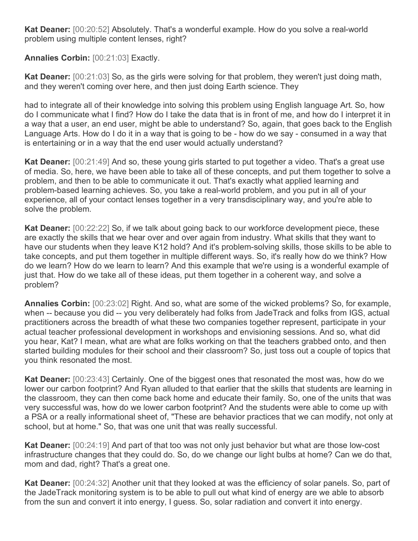**Kat Deaner:** [00:20:52] Absolutely. That's a wonderful example. How do you solve a real-world problem using multiple content lenses, right?

**Annalies Corbin:** [00:21:03] Exactly.

**Kat Deaner:** [00:21:03] So, as the girls were solving for that problem, they weren't just doing math, and they weren't coming over here, and then just doing Earth science. They

had to integrate all of their knowledge into solving this problem using English language Art. So, how do I communicate what I find? How do I take the data that is in front of me, and how do I interpret it in a way that a user, an end user, might be able to understand? So, again, that goes back to the English Language Arts. How do I do it in a way that is going to be - how do we say - consumed in a way that is entertaining or in a way that the end user would actually understand?

**Kat Deaner:** [00:21:49] And so, these young girls started to put together a video. That's a great use of media. So, here, we have been able to take all of these concepts, and put them together to solve a problem, and then to be able to communicate it out. That's exactly what applied learning and problem-based learning achieves. So, you take a real-world problem, and you put in all of your experience, all of your contact lenses together in a very transdisciplinary way, and you're able to solve the problem.

**Kat Deaner:** [00:22:22] So, if we talk about going back to our workforce development piece, these are exactly the skills that we hear over and over again from industry. What skills that they want to have our students when they leave K12 hold? And it's problem-solving skills, those skills to be able to take concepts, and put them together in multiple different ways. So, it's really how do we think? How do we learn? How do we learn to learn? And this example that we're using is a wonderful example of just that. How do we take all of these ideas, put them together in a coherent way, and solve a problem?

**Annalies Corbin:** [00:23:02] Right. And so, what are some of the wicked problems? So, for example, when -- because you did -- you very deliberately had folks from JadeTrack and folks from IGS, actual practitioners across the breadth of what these two companies together represent, participate in your actual teacher professional development in workshops and envisioning sessions. And so, what did you hear, Kat? I mean, what are what are folks working on that the teachers grabbed onto, and then started building modules for their school and their classroom? So, just toss out a couple of topics that you think resonated the most.

**Kat Deaner:** [00:23:43] Certainly. One of the biggest ones that resonated the most was, how do we lower our carbon footprint? And Ryan alluded to that earlier that the skills that students are learning in the classroom, they can then come back home and educate their family. So, one of the units that was very successful was, how do we lower carbon footprint? And the students were able to come up with a PSA or a really informational sheet of, "These are behavior practices that we can modify, not only at school, but at home." So, that was one unit that was really successful.

**Kat Deaner:** [00:24:19] And part of that too was not only just behavior but what are those low-cost infrastructure changes that they could do. So, do we change our light bulbs at home? Can we do that, mom and dad, right? That's a great one.

**Kat Deaner:** [00:24:32] Another unit that they looked at was the efficiency of solar panels. So, part of the JadeTrack monitoring system is to be able to pull out what kind of energy are we able to absorb from the sun and convert it into energy, I guess. So, solar radiation and convert it into energy.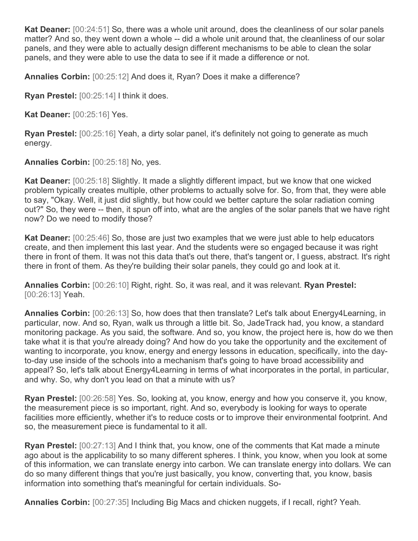**Kat Deaner:** [00:24:51] So, there was a whole unit around, does the cleanliness of our solar panels matter? And so, they went down a whole -- did a whole unit around that, the cleanliness of our solar panels, and they were able to actually design different mechanisms to be able to clean the solar panels, and they were able to use the data to see if it made a difference or not.

**Annalies Corbin:** [00:25:12] And does it, Ryan? Does it make a difference?

**Ryan Prestel:** [00:25:14] I think it does.

**Kat Deaner:** [00:25:16] Yes.

**Ryan Prestel:** [00:25:16] Yeah, a dirty solar panel, it's definitely not going to generate as much energy.

**Annalies Corbin:** [00:25:18] No, yes.

**Kat Deaner:** [00:25:18] Slightly. It made a slightly different impact, but we know that one wicked problem typically creates multiple, other problems to actually solve for. So, from that, they were able to say, "Okay. Well, it just did slightly, but how could we better capture the solar radiation coming out?" So, they were -- then, it spun off into, what are the angles of the solar panels that we have right now? Do we need to modify those?

**Kat Deaner:** [00:25:46] So, those are just two examples that we were just able to help educators create, and then implement this last year. And the students were so engaged because it was right there in front of them. It was not this data that's out there, that's tangent or, I guess, abstract. It's right there in front of them. As they're building their solar panels, they could go and look at it.

**Annalies Corbin:** [00:26:10] Right, right. So, it was real, and it was relevant. **Ryan Prestel:**  [00:26:13] Yeah.

**Annalies Corbin:** [00:26:13] So, how does that then translate? Let's talk about Energy4Learning, in particular, now. And so, Ryan, walk us through a little bit. So, JadeTrack had, you know, a standard monitoring package. As you said, the software. And so, you know, the project here is, how do we then take what it is that you're already doing? And how do you take the opportunity and the excitement of wanting to incorporate, you know, energy and energy lessons in education, specifically, into the dayto-day use inside of the schools into a mechanism that's going to have broad accessibility and appeal? So, let's talk about Energy4Learning in terms of what incorporates in the portal, in particular, and why. So, why don't you lead on that a minute with us?

**Ryan Prestel:** [00:26:58] Yes. So, looking at, you know, energy and how you conserve it, you know, the measurement piece is so important, right. And so, everybody is looking for ways to operate facilities more efficiently, whether it's to reduce costs or to improve their environmental footprint. And so, the measurement piece is fundamental to it all.

**Ryan Prestel:** [00:27:13] And I think that, you know, one of the comments that Kat made a minute ago about is the applicability to so many different spheres. I think, you know, when you look at some of this information, we can translate energy into carbon. We can translate energy into dollars. We can do so many different things that you're just basically, you know, converting that, you know, basis information into something that's meaningful for certain individuals. So-

**Annalies Corbin:** [00:27:35] Including Big Macs and chicken nuggets, if I recall, right? Yeah.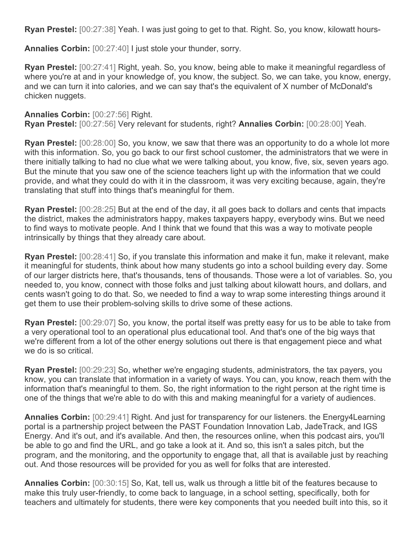**Ryan Prestel:** [00:27:38] Yeah. I was just going to get to that. Right. So, you know, kilowatt hours-

**Annalies Corbin:** [00:27:40] I just stole your thunder, sorry.

**Ryan Prestel:** [00:27:41] Right, yeah. So, you know, being able to make it meaningful regardless of where you're at and in your knowledge of, you know, the subject. So, we can take, you know, energy, and we can turn it into calories, and we can say that's the equivalent of X number of McDonald's chicken nuggets.

**Annalies Corbin:** [00:27:56] Right.

**Ryan Prestel:** [00:27:56] Very relevant for students, right? **Annalies Corbin:** [00:28:00] Yeah.

**Ryan Prestel:** [00:28:00] So, you know, we saw that there was an opportunity to do a whole lot more with this information. So, you go back to our first school customer, the administrators that we were in there initially talking to had no clue what we were talking about, you know, five, six, seven years ago. But the minute that you saw one of the science teachers light up with the information that we could provide, and what they could do with it in the classroom, it was very exciting because, again, they're translating that stuff into things that's meaningful for them.

**Ryan Prestel:** [00:28:25] But at the end of the day, it all goes back to dollars and cents that impacts the district, makes the administrators happy, makes taxpayers happy, everybody wins. But we need to find ways to motivate people. And I think that we found that this was a way to motivate people intrinsically by things that they already care about.

**Ryan Prestel:** [00:28:41] So, if you translate this information and make it fun, make it relevant, make it meaningful for students, think about how many students go into a school building every day. Some of our larger districts here, that's thousands, tens of thousands. Those were a lot of variables. So, you needed to, you know, connect with those folks and just talking about kilowatt hours, and dollars, and cents wasn't going to do that. So, we needed to find a way to wrap some interesting things around it get them to use their problem-solving skills to drive some of these actions.

**Ryan Prestel:** [00:29:07] So, you know, the portal itself was pretty easy for us to be able to take from a very operational tool to an operational plus educational tool. And that's one of the big ways that we're different from a lot of the other energy solutions out there is that engagement piece and what we do is so critical.

**Ryan Prestel:** [00:29:23] So, whether we're engaging students, administrators, the tax payers, you know, you can translate that information in a variety of ways. You can, you know, reach them with the information that's meaningful to them. So, the right information to the right person at the right time is one of the things that we're able to do with this and making meaningful for a variety of audiences.

**Annalies Corbin:** [00:29:41] Right. And just for transparency for our listeners. the Energy4Learning portal is a partnership project between the PAST Foundation Innovation Lab, JadeTrack, and IGS Energy. And it's out, and it's available. And then, the resources online, when this podcast airs, you'll be able to go and find the URL, and go take a look at it. And so, this isn't a sales pitch, but the program, and the monitoring, and the opportunity to engage that, all that is available just by reaching out. And those resources will be provided for you as well for folks that are interested.

**Annalies Corbin:** [00:30:15] So, Kat, tell us, walk us through a little bit of the features because to make this truly user-friendly, to come back to language, in a school setting, specifically, both for teachers and ultimately for students, there were key components that you needed built into this, so it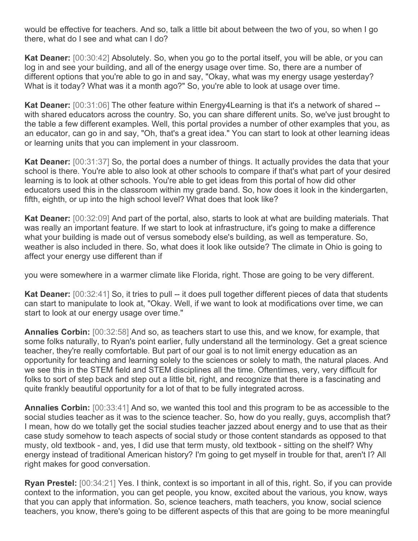would be effective for teachers. And so, talk a little bit about between the two of you, so when I go there, what do I see and what can I do?

**Kat Deaner:** [00:30:42] Absolutely. So, when you go to the portal itself, you will be able, or you can log in and see your building, and all of the energy usage over time. So, there are a number of different options that you're able to go in and say, "Okay, what was my energy usage yesterday? What is it today? What was it a month ago?" So, you're able to look at usage over time.

**Kat Deaner:** [00:31:06] The other feature within Energy4Learning is that it's a network of shared - with shared educators across the country. So, you can share different units. So, we've just brought to the table a few different examples. Well, this portal provides a number of other examples that you, as an educator, can go in and say, "Oh, that's a great idea." You can start to look at other learning ideas or learning units that you can implement in your classroom.

**Kat Deaner:** [00:31:37] So, the portal does a number of things. It actually provides the data that your school is there. You're able to also look at other schools to compare if that's what part of your desired learning is to look at other schools. You're able to get ideas from this portal of how did other educators used this in the classroom within my grade band. So, how does it look in the kindergarten, fifth, eighth, or up into the high school level? What does that look like?

**Kat Deaner:** [00:32:09] And part of the portal, also, starts to look at what are building materials. That was really an important feature. If we start to look at infrastructure, it's going to make a difference what your building is made out of versus somebody else's building, as well as temperature. So, weather is also included in there. So, what does it look like outside? The climate in Ohio is going to affect your energy use different than if

you were somewhere in a warmer climate like Florida, right. Those are going to be very different.

**Kat Deaner:** [00:32:41] So, it tries to pull -- it does pull together different pieces of data that students can start to manipulate to look at, "Okay. Well, if we want to look at modifications over time, we can start to look at our energy usage over time."

**Annalies Corbin:** [00:32:58] And so, as teachers start to use this, and we know, for example, that some folks naturally, to Ryan's point earlier, fully understand all the terminology. Get a great science teacher, they're really comfortable. But part of our goal is to not limit energy education as an opportunity for teaching and learning solely to the sciences or solely to math, the natural places. And we see this in the STEM field and STEM disciplines all the time. Oftentimes, very, very difficult for folks to sort of step back and step out a little bit, right, and recognize that there is a fascinating and quite frankly beautiful opportunity for a lot of that to be fully integrated across.

**Annalies Corbin:** [00:33:41] And so, we wanted this tool and this program to be as accessible to the social studies teacher as it was to the science teacher. So, how do you really, guys, accomplish that? I mean, how do we totally get the social studies teacher jazzed about energy and to use that as their case study somehow to teach aspects of social study or those content standards as opposed to that musty, old textbook - and, yes, I did use that term musty, old textbook - sitting on the shelf? Why energy instead of traditional American history? I'm going to get myself in trouble for that, aren't I? All right makes for good conversation.

**Ryan Prestel:** [00:34:21] Yes. I think, context is so important in all of this, right. So, if you can provide context to the information, you can get people, you know, excited about the various, you know, ways that you can apply that information. So, science teachers, math teachers, you know, social science teachers, you know, there's going to be different aspects of this that are going to be more meaningful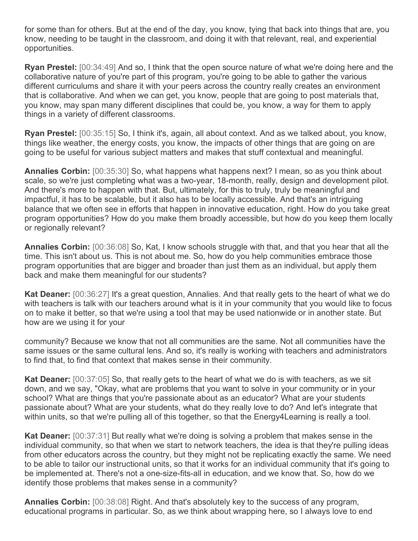for some than for others. But at the end of the day, you know, tying that back into things that are, you know, needing to be taught in the classroom, and doing it with that relevant, real, and experiential opportunities.

**Ryan Prestel:** [00:34:49] And so, I think that the open source nature of what we're doing here and the collaborative nature of you're part of this program, you're going to be able to gather the various different curriculums and share it with your peers across the country really creates an environment that is collaborative. And when we can get, you know, people that are going to post materials that, you know, may span many different disciplines that could be, you know, a way for them to apply things in a variety of different classrooms.

**Ryan Prestel:** [00:35:15] So, I think it's, again, all about context. And as we talked about, you know, things like weather, the energy costs, you know, the impacts of other things that are going on are going to be useful for various subject matters and makes that stuff contextual and meaningful.

**Annalies Corbin:** [00:35:30] So, what happens what happens next? I mean, so as you think about scale, so we're just completing what was a two-year, 18-month, really, design and development pilot. And there's more to happen with that. But, ultimately, for this to truly, truly be meaningful and impactful, it has to be scalable, but it also has to be locally accessible. And that's an intriguing balance that we often see in efforts that happen in innovative education, right. How do you take great program opportunities? How do you make them broadly accessible, but how do you keep them locally or regionally relevant?

**Annalies Corbin:** [00:36:08] So, Kat, I know schools struggle with that, and that you hear that all the time. This isn't about us. This is not about me. So, how do you help communities embrace those program opportunities that are bigger and broader than just them as an individual, but apply them back and make them meaningful for our students?

**Kat Deaner:** [00:36:27] It's a great question, Annalies. And that really gets to the heart of what we do with teachers is talk with our teachers around what is it in your community that you would like to focus on to make it better, so that we're using a tool that may be used nationwide or in another state. But how are we using it for your

community? Because we know that not all communities are the same. Not all communities have the same issues or the same cultural lens. And so, it's really is working with teachers and administrators to find that, to find that context that makes sense in their community.

**Kat Deaner:** [00:37:05] So, that really gets to the heart of what we do is with teachers, as we sit down, and we say, "Okay, what are problems that you want to solve in your community or in your school? What are things that you're passionate about as an educator? What are your students passionate about? What are your students, what do they really love to do? And let's integrate that within units, so that we're pulling all of this together, so that the Energy4Learning is really a tool.

**Kat Deaner:** [00:37:31] But really what we're doing is solving a problem that makes sense in the individual community, so that when we start to network teachers, the idea is that they're pulling ideas from other educators across the country, but they might not be replicating exactly the same. We need to be able to tailor our instructional units, so that it works for an individual community that it's going to be implemented at. There's not a one-size-fits-all in education, and we know that. So, how do we identify those problems that makes sense in a community?

**Annalies Corbin:** [00:38:08] Right. And that's absolutely key to the success of any program, educational programs in particular. So, as we think about wrapping here, so I always love to end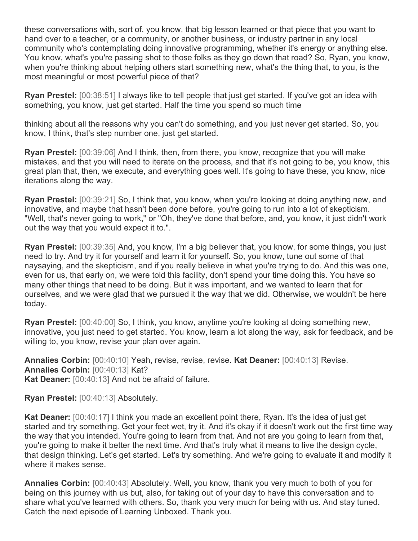these conversations with, sort of, you know, that big lesson learned or that piece that you want to hand over to a teacher, or a community, or another business, or industry partner in any local community who's contemplating doing innovative programming, whether it's energy or anything else. You know, what's you're passing shot to those folks as they go down that road? So, Ryan, you know, when you're thinking about helping others start something new, what's the thing that, to you, is the most meaningful or most powerful piece of that?

**Ryan Prestel:** [00:38:51] I always like to tell people that just get started. If you've got an idea with something, you know, just get started. Half the time you spend so much time

thinking about all the reasons why you can't do something, and you just never get started. So, you know, I think, that's step number one, just get started.

**Ryan Prestel:** [00:39:06] And I think, then, from there, you know, recognize that you will make mistakes, and that you will need to iterate on the process, and that it's not going to be, you know, this great plan that, then, we execute, and everything goes well. It's going to have these, you know, nice iterations along the way.

**Ryan Prestel:** [00:39:21] So, I think that, you know, when you're looking at doing anything new, and innovative, and maybe that hasn't been done before, you're going to run into a lot of skepticism. "Well, that's never going to work," or "Oh, they've done that before, and, you know, it just didn't work out the way that you would expect it to.".

**Ryan Prestel:** [00:39:35] And, you know, I'm a big believer that, you know, for some things, you just need to try. And try it for yourself and learn it for yourself. So, you know, tune out some of that naysaying, and the skepticism, and if you really believe in what you're trying to do. And this was one, even for us, that early on, we were told this facility, don't spend your time doing this. You have so many other things that need to be doing. But it was important, and we wanted to learn that for ourselves, and we were glad that we pursued it the way that we did. Otherwise, we wouldn't be here today.

**Ryan Prestel:** [00:40:00] So, I think, you know, anytime you're looking at doing something new, innovative, you just need to get started. You know, learn a lot along the way, ask for feedback, and be willing to, you know, revise your plan over again.

**Annalies Corbin:** [00:40:10] Yeah, revise, revise, revise. **Kat Deaner:** [00:40:13] Revise. **Annalies Corbin:** [00:40:13] Kat? **Kat Deaner:** [00:40:13] And not be afraid of failure.

**Ryan Prestel:** [00:40:13] Absolutely.

**Kat Deaner:** [00:40:17] I think you made an excellent point there, Ryan. It's the idea of just get started and try something. Get your feet wet, try it. And it's okay if it doesn't work out the first time way the way that you intended. You're going to learn from that. And not are you going to learn from that, you're going to make it better the next time. And that's truly what it means to live the design cycle, that design thinking. Let's get started. Let's try something. And we're going to evaluate it and modify it where it makes sense.

**Annalies Corbin:** [00:40:43] Absolutely. Well, you know, thank you very much to both of you for being on this journey with us but, also, for taking out of your day to have this conversation and to share what you've learned with others. So, thank you very much for being with us. And stay tuned. Catch the next episode of Learning Unboxed. Thank you.